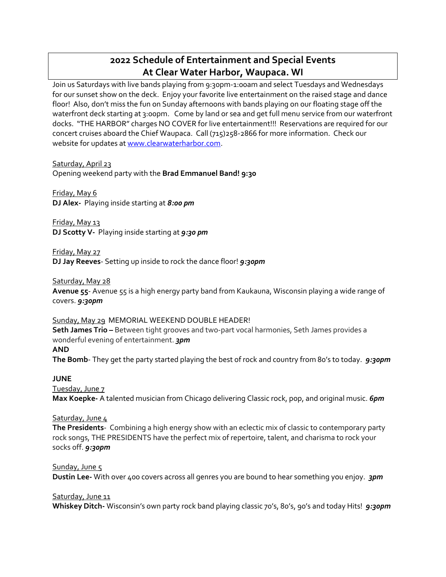# **2022 Schedule of Entertainment and Special Events At Clear Water Harbor, Waupaca. WI**

Join us Saturdays with live bands playing from 9:30pm-1:00am and select Tuesdays and Wednesdays for our sunset show on the deck. Enjoy your favorite live entertainment on the raised stage and dance floor! Also, don't miss the fun on Sunday afternoons with bands playing on our floating stage off the waterfront deck starting at 3:00pm. Come by land or sea and get full menu service from our waterfront docks. "THE HARBOR" charges NO COVER for live entertainment!!! Reservations are required for our concert cruises aboard the Chief Waupaca. Call (715)258-2866 for more information. Check our website for updates a[t www.clearwaterharbor.com.](http://www.clearwaterharbor.com/)

Saturday, April 23 Opening weekend party with the **Brad Emmanuel Band! 9:30**

Friday, May 6 **DJ Alex-** Playing inside starting at *8:00 pm*

Friday, May 13 **DJ Scotty V-** Playing inside starting at *9:30 pm*

Friday, May 27 **DJ Jay Reeves**- Setting up inside to rock the dance floor! *9:30pm*

Saturday, May 28

**Avenue 55**- Avenue 55 is a high energy party band from Kaukauna, Wisconsin playing a wide range of covers. *9:30pm*

Sunday, May 29 MEMORIAL WEEKEND DOUBLE HEADER! **Seth James Trio –** Between tight grooves and two-part vocal harmonies, Seth James provides a wonderful evening of entertainment. *3pm* 

**AND**

**The Bomb**- They get the party started playing the best of rock and country from 80's to today. *9:30pm*

**JUNE**

Tuesday, June 7 **Max Koepke-** A talented musician from Chicago delivering Classic rock, pop, and original music. *6pm*

# Saturday, June 4

**The Presidents**- Combining a high energy show with an eclectic mix of classic to contemporary party rock songs, THE PRESIDENTS have the perfect mix of repertoire, talent, and charisma to rock your socks off. *9:30pm*

Sunday, June 5

**Dustin Lee-** With over 400 covers across all genres you are bound to hear something you enjoy. *3pm*

Saturday, June 11

**Whiskey Ditch-** Wisconsin's own party rock band playing classic 70's, 80's, 90's and today Hits! *9:30pm*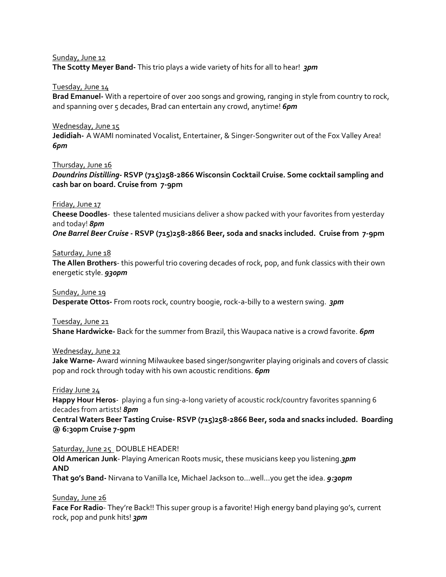#### Sunday, June 12

**The Scotty Meyer Band-** This trio plays a wide variety of hits for all to hear! *3pm*

#### Tuesday, June 14

**Brad Emanuel-** With a repertoire of over 200 songs and growing, ranging in style from country to rock, and spanning over 5 decades, Brad can entertain any crowd, anytime! **6pm** 

#### Wednesday, June 15

**Jedidiah-** A WAMI nominated Vocalist, Entertainer, & Singer-Songwriter out of the Fox Valley Area! *6pm*

Thursday, June 16

*Doundrins Distilling***- RSVP (715)258-2866 Wisconsin Cocktail Cruise. Some cocktail sampling and cash bar on board. Cruise from 7-9pm**

Friday, June 17

**Cheese Doodles**- these talented musicians deliver a show packed with your favorites from yesterday and today! *8pm*

*One Barrel Beer Cruise* **- RSVP (715)258-2866 Beer, soda and snacks included. Cruise from 7-9pm**

#### Saturday, June 18

**The Allen Brothers**- this powerful trio covering decades of rock, pop, and funk classics with their own energetic style. *930pm*

#### Sunday, June 19

**Desperate Ottos-** From roots rock, country boogie, rock-a-billy to a western swing. *3pm*

#### Tuesday, June 21

**Shane Hardwicke-** Back for the summer from Brazil, this Waupaca native is a crowd favorite. *6pm*

#### Wednesday, June 22

**Jake Warne-** Award winning Milwaukee based singer/songwriter playing originals and covers of classic pop and rock through today with his own acoustic renditions. *6pm*

#### Friday June 24

**Happy Hour Heros**- playing a fun sing-a-long variety of acoustic rock/country favorites spanning 6 decades from artists! *8pm*

**Central Waters Beer Tasting Cruise- RSVP (715)258-2866 Beer, soda and snacks included. Boarding @ 6:30pm Cruise 7-9pm**

#### Saturday, June 25 DOUBLE HEADER!

**Old American Junk**- Playing American Roots music, these musicians keep you listening.*3pm* **AND**

**That 90's Band-** Nirvana to Vanilla Ice, Michael Jackson to…well…you get the idea. *9:30pm*

Sunday, June 26

**Face For Radio**- They're Back!! This super group is a favorite! High energy band playing 90's, current rock, pop and punk hits! *3pm*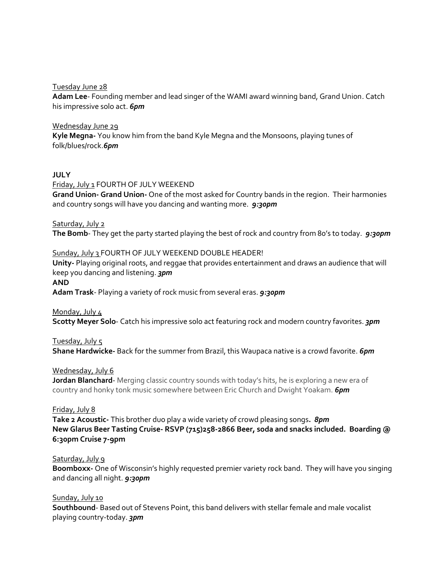Tuesday June 28

**Adam Lee**- Founding member and lead singer of the WAMI award winning band, Grand Union. Catch his impressive solo act. *6pm*

Wednesday June 29 **Kyle Megna-** You know him from the band Kyle Megna and the Monsoons, playing tunes of folk/blues/rock.*6pm*

# **JULY**

Friday, July 1 FOURTH OF JULY WEEKEND

**Grand Union- Grand Union-** One of the most asked for Country bands in the region. Their harmonies and country songs will have you dancing and wanting more. *9:30pm*

Saturday, July 2 **The Bomb**- They get the party started playing the best of rock and country from 80's to today. *9:30pm*

#### Sunday, July 3 FOURTH OF JULY WEEKEND DOUBLE HEADER!

**Unity-** Playing original roots, and reggae that provides entertainment and draws an audience that will keep you dancing and listening. *3pm*

**AND**

**Adam Trask**- Playing a variety of rock music from several eras. *9:30pm*

Monday, July 4

**Scotty Meyer Solo**- Catch his impressive solo act featuring rock and modern country favorites. *3pm*

Tuesday, July 5

**Shane Hardwicke-** Back for the summer from Brazil, this Waupaca native is a crowd favorite. *6pm*

Wednesday, July 6

**Jordan Blanchard**- Merging classic country sounds with today's hits, he is exploring a new era of country and honky tonk music somewhere between Eric Church and Dwight Yoakam. *6pm*

#### Friday, July 8

**Take 2 Acoustic-** This brother duo play a wide variety of crowd pleasing songs**.** *8pm* **New Glarus Beer Tasting Cruise- RSVP (715)258-2866 Beer, soda and snacks included. Boarding @ 6:30pm Cruise 7-9pm**

#### Saturday, July 9

**Boomboxx-** One of Wisconsin's highly requested premier variety rock band. They will have you singing and dancing all night. *9:30pm*

#### Sunday, July 10

**Southbound**- Based out of Stevens Point, this band delivers with stellar female and male vocalist playing country-today. *3pm*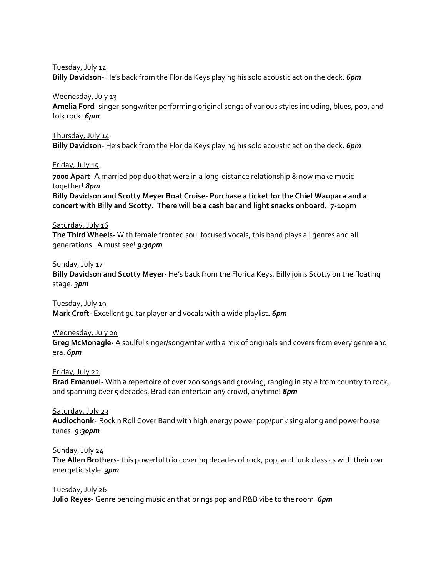Tuesday, July 12

**Billy Davidson**- He's back from the Florida Keys playing his solo acoustic act on the deck. *6pm*

#### Wednesday, July 13

**Amelia Ford**- singer-songwriter performing original songs of various styles including, blues, pop, and folk rock. *6pm*

#### Thursday, July 14

**Billy Davidson**- He's back from the Florida Keys playing his solo acoustic act on the deck. *6pm*

#### Friday, July 15

**7000 Apart**- A married pop duo that were in a long-distance relationship & now make music together! *8pm*

**Billy Davidson and Scotty Meyer Boat Cruise- Purchase a ticket for the Chief Waupaca and a concert with Billy and Scotty. There will be a cash bar and light snacks onboard. 7-10pm**

#### Saturday, July 16

**The Third Wheels-** With female fronted soul focused vocals, this band plays all genres and all generations. A must see! *9:30pm*

# Sunday, July 17

**Billy Davidson and Scotty Meyer-** He's back from the Florida Keys, Billy joins Scotty on the floating stage. *3pm*

# Tuesday, July 19

**Mark Croft-** Excellent guitar player and vocals with a wide playlist**.** *6pm*

#### Wednesday, July 20

**Greg McMonagle-** A soulful singer/songwriter with a mix of originals and covers from every genre and era. *6pm*

# Friday, July 22

**Brad Emanuel-** With a repertoire of over 200 songs and growing, ranging in style from country to rock, and spanning over 5 decades, Brad can entertain any crowd, anytime! *8pm* 

#### Saturday, July 23

**Audiochonk**- Rock n Roll Cover Band with high energy power pop/punk sing along and powerhouse tunes. *9:30pm*

#### Sunday, July 24

**The Allen Brothers**- this powerful trio covering decades of rock, pop, and funk classics with their own energetic style. *3pm*

Tuesday, July 26 **Julio Reyes-** Genre bending musician that brings pop and R&B vibe to the room. *6pm*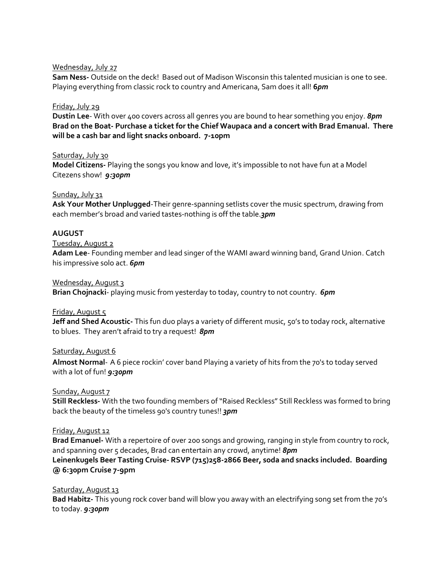#### Wednesday, July 27

**Sam Ness-** Outside on the deck! Based out of Madison Wisconsin this talented musician is one to see. Playing everything from classic rock to country and Americana, Sam does it all! **6***pm*

### Friday, July 29

**Dustin Lee**- With over 400 covers across all genres you are bound to hear something you enjoy. *8pm* **Brad on the Boat- Purchase a ticket for the Chief Waupaca and a concert with Brad Emanual. There will be a cash bar and light snacks onboard. 7-10pm** 

# Saturday, July 30

**Model Citizens-** Playing the songs you know and love, it's impossible to not have fun at a Model Citezens show! *9:30pm*

# Sunday, July 31

**Ask Your Mother Unplugged**-Their genre-spanning setlists cover the music spectrum, drawing from each member's broad and varied tastes-nothing is off the table.*3pm*

# **AUGUST**

#### Tuesday, August 2

**Adam Lee**- Founding member and lead singer of the WAMI award winning band, Grand Union. Catch his impressive solo act. *6pm*

#### Wednesday, August 3

**Brian Chojnacki**- playing music from yesterday to today, country to not country. *6pm*

#### Friday, August 5

**Jeff and Shed Acoustic-** This fun duo plays a variety of different music, 50's to today rock, alternative to blues. They aren't afraid to try a request! *8pm*

#### Saturday, August 6

**Almost Normal**- A 6 piece rockin' cover band Playing a variety of hits from the 70's to today served with a lot of fun! *9:30pm*

#### Sunday, August 7

**Still Reckless-** With the two founding members of "Raised Reckless" Still Reckless was formed to bring back the beauty of the timeless 90's country tunes!! *3pm*

#### Friday, August 12

**Brad Emanuel-** With a repertoire of over 200 songs and growing, ranging in style from country to rock, and spanning over 5 decades, Brad can entertain any crowd, anytime! *8pm* **Leinenkugels Beer Tasting Cruise- RSVP (715)258-2866 Beer, soda and snacks included. Boarding @ 6:30pm Cruise 7-9pm**

#### Saturday, August 13

**Bad Habitz-** This young rock cover band will blow you away with an electrifying song set from the 70's to today. *9:30pm*